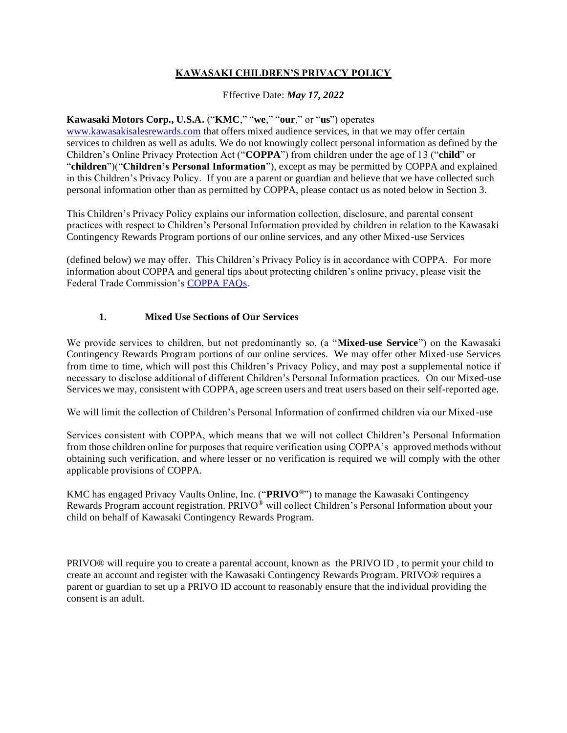# **KAWASAKI CHILDREN'S PRIVACY POLICY**

Effective Date: *May 17, 2022*

### **Kawasaki Motors Corp., U.S.A.** ("**KMC**," "**we**," "**our**," or "**us**") operates

www.kawasakisalesrewards.com that offers mixed audience services, in that we may offer certain services to children as well as adults. We do not knowingly collect personal information as defined by the Children's Online Privacy Protection Act ("**COPPA**") from children under the age of 13 ("**child**" or "**children**")("**Children's Personal Information**"), except as may be permitted by COPPA and explained in this Children's Privacy Policy. If you are a parent or guardian and believe that we have collected such personal information other than as permitted by COPPA, please contact us as noted below in Section 3.

This Children's Privacy Policy explains our information collection, disclosure, and parental consent practices with respect to Children's Personal Information provided by children in relation to the Kawasaki Contingency Rewards Program portions of our online services, and any other Mixed-use Services

(defined below) we may offer. This Children's Privacy Policy is in accordance with COPPA. For more information about COPPA and general tips about protecting children's online privacy, please visit the Federal Trade Commission's COPPA FAQs.

### **1. Mixed Use Sections of Our Services**

We provide services to children, but not predominantly so, (a "**Mixed-use Service**") on the Kawasaki Contingency Rewards Program portions of our online services. We may offer other Mixed-use Services from time to time, which will post this Children's Privacy Policy, and may post a supplemental notice if necessary to disclose additional of different Children's Personal Information practices. On our Mixed-use Services we may, consistent with COPPA, age screen users and treat users based on their self-reported age.

We will limit the collection of Children's Personal Information of confirmed children via our Mixed-use

Services consistent with COPPA, which means that we will not collect Children's Personal Information from those children online for purposes that require verification using COPPA's approved methods without obtaining such verification, and where lesser or no verification is required we will comply with the other applicable provisions of COPPA.

KMC has engaged Privacy Vaults Online, Inc. ("**PRIVO®**") to manage the Kawasaki Contingency Rewards Program account registration. PRIVO® will collect Children's Personal Information about your child on behalf of Kawasaki Contingency Rewards Program.

PRIVO® will require you to create a parental account, known as the PRIVO ID , to permit your child to create an account and register with the Kawasaki Contingency Rewards Program. PRIVO® requires a parent or guardian to set up a PRIVO ID account to reasonably ensure that the individual providing the consent is an adult.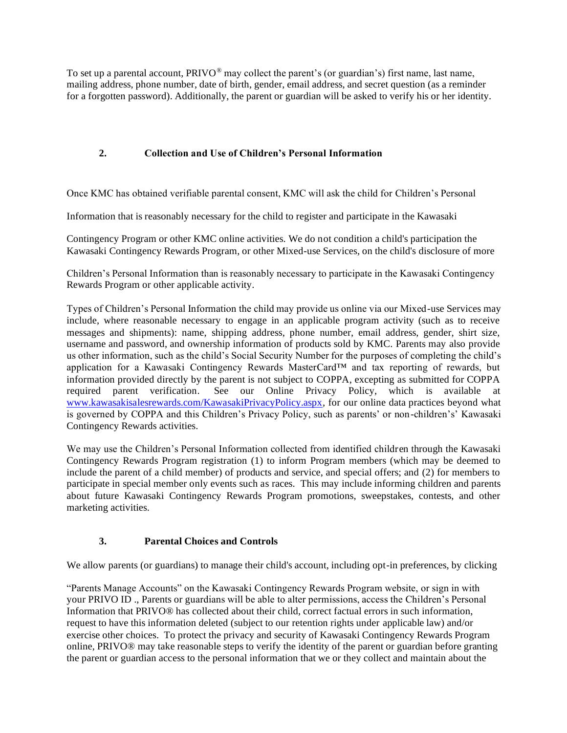To set up a parental account,  $PRIVO^{\circledast}$  may collect the parent's (or guardian's) first name, last name, mailing address, phone number, date of birth, gender, email address, and secret question (as a reminder for a forgotten password). Additionally, the parent or guardian will be asked to verify his or her identity.

# **2. Collection and Use of Children's Personal Information**

Once KMC has obtained verifiable parental consent, KMC will ask the child for Children's Personal

Information that is reasonably necessary for the child to register and participate in the Kawasaki

Contingency Program or other KMC online activities. We do not condition a child's participation the Kawasaki Contingency Rewards Program, or other Mixed-use Services, on the child's disclosure of more

Children's Personal Information than is reasonably necessary to participate in the Kawasaki Contingency Rewards Program or other applicable activity.

Types of Children's Personal Information the child may provide us online via our Mixed-use Services may include, where reasonable necessary to engage in an applicable program activity (such as to receive messages and shipments): name, shipping address, phone number, email address, gender, shirt size, username and password, and ownership information of products sold by KMC. Parents may also provide us other information, such as the child's Social Security Number for the purposes of completing the child's application for a Kawasaki Contingency Rewards MasterCard™ and tax reporting of rewards, but information provided directly by the parent is not subject to COPPA, excepting as submitted for COPPA required parent verification. See our Online Privacy Policy, which is available at www.kawasakisalesrewards.com/KawasakiPrivacyPolicy.aspx, for our online data practices beyond what is governed by COPPA and this Children's Privacy Policy, such as parents' or non-children's' Kawasaki Contingency Rewards activities.

We may use the Children's Personal Information collected from identified children through the Kawasaki Contingency Rewards Program registration (1) to inform Program members (which may be deemed to include the parent of a child member) of products and service, and special offers; and (2) for members to participate in special member only events such as races. This may include informing children and parents about future Kawasaki Contingency Rewards Program promotions, sweepstakes, contests, and other marketing activities.

## **3. Parental Choices and Controls**

We allow parents (or guardians) to manage their child's account, including opt-in preferences, by clicking

"Parents Manage Accounts" on the Kawasaki Contingency Rewards Program website, or sign in with your PRIVO ID ., Parents or guardians will be able to alter permissions, access the Children's Personal Information that PRIVO® has collected about their child, correct factual errors in such information, request to have this information deleted (subject to our retention rights under applicable law) and/or exercise other choices. To protect the privacy and security of Kawasaki Contingency Rewards Program online, PRIVO® may take reasonable steps to verify the identity of the parent or guardian before granting the parent or guardian access to the personal information that we or they collect and maintain about the